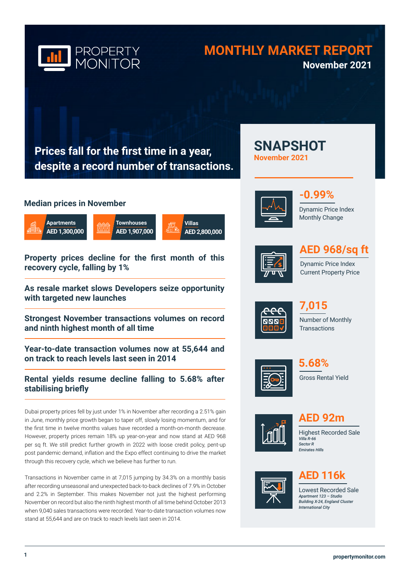

## **MONTHLY MARKET REPORT November 2021**

**SNAPSHOT** 

**November 2021**

**Prices fall for the first time in a year, despite a record number of transactions.**

### **Median prices in November**



**Property prices decline for the first month of this recovery cycle, falling by 1%**

**As resale market slows Developers seize opportunity with targeted new launches**

**Strongest November transactions volumes on record and ninth highest month of all time**

**Year-to-date transaction volumes now at 55,644 and on track to reach levels last seen in 2014**

### **Rental yields resume decline falling to 5.68% after stabilising briefly**

Dubai property prices fell by just under 1% in November after recording a 2.51% gain in June, monthly price growth began to taper off, slowly losing momentum, and for the first time in twelve months values have recorded a month-on-month decrease. However, property prices remain 18% up year-on-year and now stand at AED 968 per sq ft. We still predict further growth in 2022 with loose credit policy, pent-up post pandemic demand, inflation and the Expo effect continuing to drive the market through this recovery cycle, which we believe has further to run.

Transactions in November came in at 7,015 jumping by 34.3% on a monthly basis after recording unseasonal and unexpected back-to-back declines of 7.9% in October and 2.2% in September. This makes November not just the highest performing November on record but also the ninth highest month of all time behind October 2013 when 9,040 sales transactions were recorded. Year-to-date transaction volumes now stand at 55,644 and are on track to reach levels last seen in 2014.





Dynamic Price Index Monthly Change



# **AED 968/sq ft**

Dynamic Price Index Current Property Price



Number of Monthly **Transactions 7,015**



Gross Rental Yield **5.68%**



**AED 92m**

Highest Recorded Sale *Villa R-66 Sector R Emirates Hills* 



## **AED 116k**

Lowest Recorded Sale *Apartment 123 – Studio Building X-24, England Cluster International City*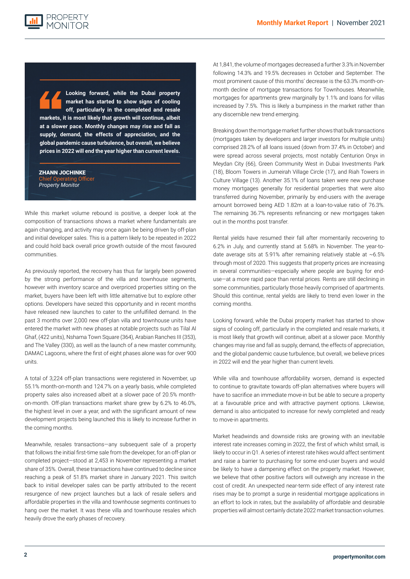**Looking forward, while the Dubai property market has started to show signs of cooling off, particularly in the completed and resale markets, it is most likely that growth will continue, albeit at a slower pace. Monthly changes may rise and fall as supply, demand, the effects of appreciation, and the global pandemic cause turbulence, but overall, we believe prices in 2022 will end the year higher than current levels.**

#### ZHANN JOCHINKE

**PROPERTY** 

ing Officer *Property Monitor*

While this market volume rebound is positive, a deeper look at the composition of transactions shows a market where fundamentals are again changing, and activity may once again be being driven by off-plan and initial developer sales. This is a pattern likely to be repeated in 2022 and could hold back overall price growth outside of the most favoured communities.

As previously reported, the recovery has thus far largely been powered by the strong performance of the villa and townhouse segments, however with inventory scarce and overpriced properties sitting on the market, buyers have been left with little alternative but to explore other options. Developers have seized this opportunity and in recent months have released new launches to cater to the unfulfilled demand. In the past 3 months over 2,000 new off-plan villa and townhouse units have entered the market with new phases at notable projects such as Tilal Al Ghaf, (422 units), Nshama Town Square (364), Arabian Ranches III (353), and The Valley (330), as well as the launch of a new master community, DAMAC Lagoons, where the first of eight phases alone was for over 900 units.

A total of 3,224 off-plan transactions were registered in November, up 55.1% month-on-month and 124.7% on a yearly basis, while completed property sales also increased albeit at a slower pace of 20.5% monthon-month. Off-plan transactions market share grew by 6.2% to 46.0%, the highest level in over a year, and with the significant amount of new development projects being launched this is likely to increase further in the coming months.

Meanwhile, resales transactions—any subsequent sale of a property that follows the initial first-time sale from the developer, for an off-plan or completed project—stood at 2,453 in November representing a market share of 35%. Overall, these transactions have continued to decline since reaching a peak of 51.8% market share in January 2021. This switch back to initial developer sales can be partly attributed to the recent resurgence of new project launches but a lack of resale sellers and affordable properties in the villa and townhouse segments continues to hang over the market. It was these villa and townhouse resales which heavily drove the early phases of recovery.

At 1,841, the volume of mortgages decreased a further 3.3% in November following 14.3% and 19.5% decreases in October and September. The most prominent cause of this months' decrease is the 63.3% month-onmonth decline of mortgage transactions for Townhouses. Meanwhile mortgages for apartments grew marginally by 1.1% and loans for villas increased by 7.5%. This is likely a bumpiness in the market rather than any discernible new trend emerging.

Breaking down the mortgage market further shows that bulk transactions (mortgages taken by developers and larger investors for multiple units) comprised 28.2% of all loans issued (down from 37.4% in October) and were spread across several projects, most notably Centurion Onyx in Meydan City (66), Green Community West in Dubai Investments Park (18), Bloom Towers in Jumeirah Village Circle (17), and Riah Towers in Culture Village (13). Another 35.1% of loans taken were new purchase money mortgages generally for residential properties that were also transferred during November, primarily by end-users with the average amount borrowed being AED 1.82m at a loan-to-value ratio of 76.3%. The remaining 36.7% represents refinancing or new mortgages taken out in the months post transfer.

Rental yields have resumed their fall after momentarily recovering to 6.2% in July, and currently stand at 5.68% in November. The year-todate average sits at 5.91% after remaining relatively stable at  $~6.5\%$ through most of 2020. This suggests that property prices are increasing in several communities—especially where people are buying for enduse—at a more rapid pace than rental prices. Rents are still declining in some communities, particularly those heavily comprised of apartments. Should this continue, rental yields are likely to trend even lower in the coming months.

Looking forward, while the Dubai property market has started to show signs of cooling off, particularly in the completed and resale markets, it is most likely that growth will continue, albeit at a slower pace. Monthly changes may rise and fall as supply, demand, the effects of appreciation, and the global pandemic cause turbulence, but overall, we believe prices in 2022 will end the year higher than current levels.

While villa and townhouse affordability worsen, demand is expected to continue to gravitate towards off-plan alternatives where buyers will have to sacrifice an immediate move-in but be able to secure a property at a favourable price and with attractive payment options. Likewise, demand is also anticipated to increase for newly completed and ready to move-in apartments.

Market headwinds and downside risks are growing with an inevitable interest rate increases coming in 2022, the first of which whilst small, is likely to occur in Q1. A series of interest rate hikes would affect sentiment and raise a barrier to purchasing for some end-user buyers and would be likely to have a dampening effect on the property market. However, we believe that other positive factors will outweigh any increase in the cost of credit. An unexpected near-term side effect of any interest rate rises may be to prompt a surge in residential mortgage applications in an effort to lock in rates, but the availability of affordable and desirable properties will almost certainly dictate 2022 market transaction volumes.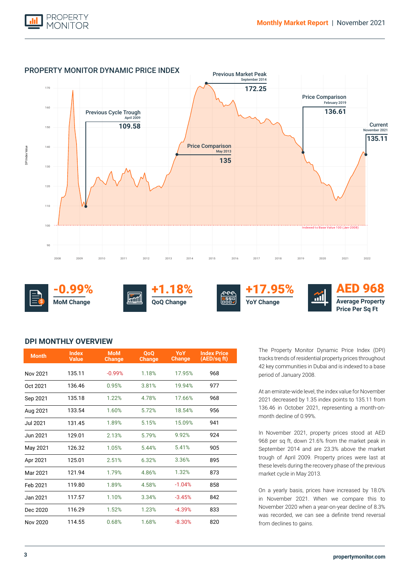



### **DPI MONTHLY OVERVIEW**

| <b>Month</b>    | <b>Index</b><br><b>Value</b> | <b>MoM</b><br><b>Change</b> | <b>OoO</b><br><b>Change</b> | <b>YoY</b><br>Change | <b>Index Price</b><br>(AED/sq ft) |
|-----------------|------------------------------|-----------------------------|-----------------------------|----------------------|-----------------------------------|
| Nov 2021        | 135.11                       | $-0.99%$                    | 1.18%                       | 17.95%               | 968                               |
| Oct 2021        | 136.46                       | 0.95%                       | 3.81%                       | 19.94%               | 977                               |
| Sep 2021        | 135.18                       | 1.22%                       | 4.78%                       | 17.66%               | 968                               |
| Aug 2021        | 133.54                       | 1.60%                       | 5.72%                       | 18.54%               | 956                               |
| <b>Jul 2021</b> | 131.45                       | 1.89%                       | 5.15%                       | 15.09%               | 941                               |
| Jun 2021        | 129.01                       | 2.13%                       | 5.79%                       | 9.92%                | 924                               |
| May 2021        | 126.32                       | 1.05%                       | 5.44%                       | 5.41%                | 905                               |
| Apr 2021        | 125.01                       | 2.51%                       | 6.32%                       | 3.36%                | 895                               |
| Mar 2021        | 121.94                       | 1.79%                       | 4.86%                       | 1.32%                | 873                               |
| Feb 2021        | 119.80                       | 1.89%                       | 4.58%                       | $-1.04%$             | 858                               |
| Jan 2021        | 117.57                       | 1.10%                       | 3.34%                       | $-3.45%$             | 842                               |
| Dec 2020        | 116.29                       | 1.52%                       | 1.23%                       | $-4.39%$             | 833                               |
| Nov 2020        | 114.55                       | 0.68%                       | 1.68%                       | $-8.30%$             | 820                               |

The Property Monitor Dynamic Price Index (DPI) tracks trends of residential property prices throughout 42 key communities in Dubai and is indexed to a base period of January 2008.

At an emirate-wide level, the index value for November 2021 decreased by 1.35 index points to 135.11 from 136.46 in October 2021, representing a month-onmonth decline of 0.99%.

In November 2021, property prices stood at AED 968 per sq ft, down 21.6% from the market peak in September 2014 and are 23.3% above the market trough of April 2009. Property prices were last at these levels during the recovery phase of the previous market cycle in May 2013.

On a yearly basis, prices have increased by 18.0% in November 2021. When we compare this to November 2020 when a year-on-year decline of 8.3% was recorded, we can see a definite trend reversal from declines to gains.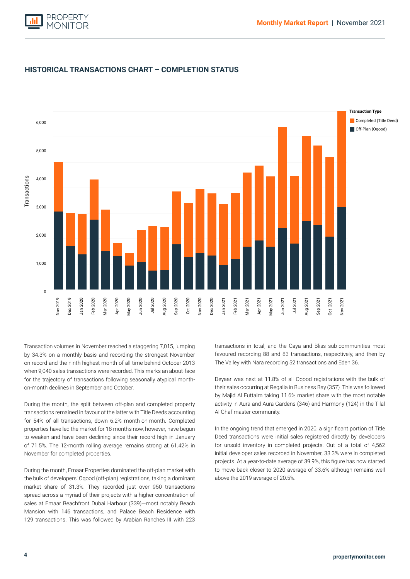



### **HISTORICAL TRANSACTIONS CHART – COMPLETION STATUS**

when 9,040 sales transactions were recorded. This marks an about-face for the trajectory of transactions following seasonally atypical month-Transaction volumes in November reached a staggering 7,015, jumping by 34.3% on a monthly basis and recording the strongest November on record and the ninth highest month of all time behind October 2013 on-month declines in September and October.

During the month, the split between off-plan and completed property transactions remained in favour of the latter with Title Deeds accounting for 54% of all transactions, down 6.2% month-on-month. Completed properties have led the market for 18 months now, however, have begun to weaken and have been declining since their record high in January of 71.5%. The 12-month rolling average remains strong at 61.42% in November for completed properties.

During the month, Emaar Properties dominated the off-plan market with the bulk of developers' Oqood (off-plan) registrations, taking a dominant market share of 31.3%. They recorded just over 950 transactions spread across a myriad of their projects with a higher concentration of sales at Emaar Beachfront Dubai Harbour (339)—most notably Beach Mansion with 146 transactions, and Palace Beach Residence with 129 transactions. This was followed by Arabian Ranches III with 223

transactions in total, and the Caya and Bliss sub-communities most favoured recording 88 and 83 transactions, respectively, and then by The Valley with Nara recording 52 transactions and Eden 36.

Deyaar was next at 11.8% of all Oqood registrations with the bulk of their sales occurring at Regalia in Business Bay (357). This was followed by Majid Al Futtaim taking 11.6% market share with the most notable activity in Aura and Aura Gardens (346) and Harmony (124) in the Tilal Al Ghaf master community.

In the ongoing trend that emerged in 2020, a significant portion of Title Deed transactions were initial sales registered directly by developers for unsold inventory in completed projects. Out of a total of 4,562 initial developer sales recorded in November, 33.3% were in completed projects. At a year-to-date average of 39.9%, this figure has now started to move back closer to 2020 average of 33.6% although remains well above the 2019 average of 20.5%.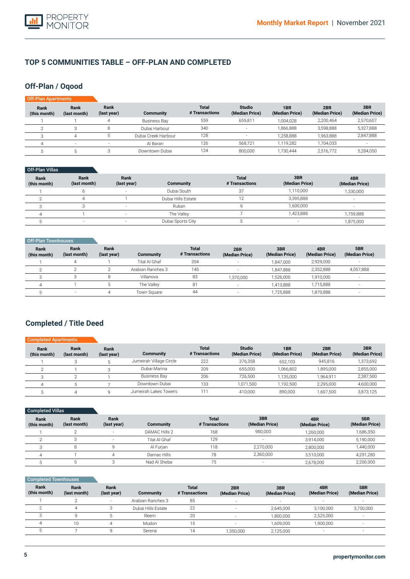

### **TOP 5 COMMUNITIES TABLE – OFF-PLAN AND COMPLETED**

## **Off-Plan / Oqood**

| <b>Off-Plan Apartments</b> |                      |                     |                     |                                |                                 |                                   |                       |                       |
|----------------------------|----------------------|---------------------|---------------------|--------------------------------|---------------------------------|-----------------------------------|-----------------------|-----------------------|
| Rank<br>(this month)       | Rank<br>(last month) | Rank<br>(last year) | Community           | <b>Total</b><br># Transactions | <b>Studio</b><br>(Median Price) | 1 <sub>BR</sub><br>(Median Price) | 2BR<br>(Median Price) | 3BR<br>(Median Price) |
|                            |                      |                     | <b>Business Bay</b> | 559                            | 659,811                         | 1.004.028                         | 2.200.464             | 2,570,607             |
|                            |                      | 8                   | Dubai Harbour       | 340                            | $\overline{\phantom{a}}$        | 1,866,888                         | 3,598,888             | 5,327,888             |
|                            | 4                    |                     | Dubai Creek Harbour | 128                            | н.                              | 1,258,888                         | 1.963.888             | 2,847,888             |
|                            | $\sim$               | н.                  | Al Barari           | 126                            | 568.721                         | 1,119,282                         | 1.704.033             |                       |
|                            | . .                  |                     | Downtown Dubai      | 124                            | 800,000                         | 1.730.444                         | 2,516,772             | 5,284,050             |

### Off-Plan Villas

| <b>Rank</b><br>(this month) | Rank<br>(last month) | Rank<br>(last year) | Community          | <b>Total</b><br># Transactions | 3BR<br>(Median Price) | 4BR<br>(Median Price) |
|-----------------------------|----------------------|---------------------|--------------------|--------------------------------|-----------------------|-----------------------|
|                             |                      |                     | Dubai South        | 37                             | 1,110,000             | 1,330,000             |
|                             |                      |                     | Dubai Hills Estate |                                | 3,395,888             |                       |
|                             |                      |                     | Rukan              |                                | 1,600,000             |                       |
|                             |                      |                     | The Vallev         |                                | 1,423,888             | ,759,888              |
|                             |                      |                     | Dubai Sports City  |                                |                       | 1,875,000             |

| Off-Plan Townhouses         |                      |                     |                   |                                |                       |                       |                       |                       |
|-----------------------------|----------------------|---------------------|-------------------|--------------------------------|-----------------------|-----------------------|-----------------------|-----------------------|
| <b>Rank</b><br>(this month) | Rank<br>(last month) | Rank<br>(last year) | Community         | <b>Total</b><br># Transactions | 2BR<br>(Median Price) | 3BR<br>(Median Price) | 4BR<br>(Median Price) | 5BR<br>(Median Price) |
|                             |                      |                     | Tilal Al Ghaf     | 354                            |                       | 1.847.000             | 2,929,000             |                       |
|                             |                      |                     | Arabian Ranches 3 | 145                            |                       | 1.847.888             | 2,352,888             | 4,057,888             |
|                             |                      |                     | Villanova         | 83                             | ,370,000              | 1,526,000             | 1,910,000             | $\sim$                |
|                             |                      |                     | The Valley        | 81                             |                       | 1,413,888             | 1,715,888             | $-$                   |
|                             |                      |                     | Town Square       | 44                             |                       | 1,725,888             | 1,870,888             | $\sim$                |

## **Completed / Title Deed**

| <b>Completed Apartments</b> |                      |                     |                         |                                |                                 |                       |                       |                       |
|-----------------------------|----------------------|---------------------|-------------------------|--------------------------------|---------------------------------|-----------------------|-----------------------|-----------------------|
| Rank<br>(this month)        | Rank<br>(last month) | Rank<br>(last year) | Community               | <b>Total</b><br># Transactions | <b>Studio</b><br>(Median Price) | 1BR<br>(Median Price) | 2BR<br>(Median Price) | 3BR<br>(Median Price) |
|                             |                      |                     | Jumeirah Village Circle | 222                            | 376,358                         | 652.103               | 945.816               | 1,373,692             |
|                             |                      |                     | Dubai Marina            | 209                            | 655,000                         | 1.066.802             | 1,895,000             | 2,855,000             |
|                             |                      |                     | <b>Business Bay</b>     | 206                            | 726.500                         | 1.135.000             | 1.964.911             | 2,387,500             |
|                             |                      |                     | Downtown Dubai          | 133                            | 1.071.500                       | 1.192.500             | 2.295.000             | 4,600,000             |
|                             |                      |                     | Jumeirah Lakes Towers   | '11                            | 410.000                         | 890,000               | 1.607.500             | 3,873,125             |

| Completed Villas     |                      |                     |               |                                |                       |                       |                       |
|----------------------|----------------------|---------------------|---------------|--------------------------------|-----------------------|-----------------------|-----------------------|
| Rank<br>(this month) | Rank<br>(last month) | Rank<br>(last year) | Community     | <b>Total</b><br># Transactions | 3BR<br>(Median Price) | 4BR<br>(Median Price) | 5BR<br>(Median Price) |
|                      |                      | $\sim$              | DAMAC Hills 2 | 168                            | 980,000               | 1,260,000             | 1,686,350             |
|                      |                      | $\sim$              | Tilal Al Ghaf | 129                            | н.                    | 3,914,000             | 5,190,000             |
|                      | 8                    |                     | Al Furian     | 118                            | 2,270,000             | 2,800,000             | 1,440,000             |
|                      |                      |                     | Damac Hills   | 78                             | 2,360,000             | 3,510,000             | 4,291,280             |
|                      |                      |                     | Nad Al Sheba  | 75                             |                       | 2,678,000             | 2,200,000             |

| <b>Completed Townhouses</b> |                      |                          |                    |                                |                          |                          |                          |                          |
|-----------------------------|----------------------|--------------------------|--------------------|--------------------------------|--------------------------|--------------------------|--------------------------|--------------------------|
| Rank<br>(this month)        | Rank<br>(last month) | Rank<br>(last year)      | <b>Community</b>   | <b>Total</b><br># Transactions | 2BR<br>(Median Price)    | 3BR<br>(Median Price)    | 4BR<br>(Median Price)    | 5BR<br>(Median Price)    |
|                             |                      | $\overline{\phantom{a}}$ | Arabian Ranches 3  | 85                             | $\sim$                   | $\overline{\phantom{a}}$ |                          |                          |
|                             |                      |                          | Dubai Hills Estate | 22                             | $\overline{\phantom{a}}$ | 2,645,000                | 3.100.000                | 3,750,000                |
|                             |                      |                          | Reem               | 20                             | $\sim$                   | 1,800,000                | 2,525,000                | $\overline{\phantom{a}}$ |
| 4                           | 10                   | 4                        | Mudon              | 15                             |                          | 1,609,000                | 1,900,000                |                          |
|                             |                      |                          | Serena             | 14                             | 1,350,000                | 2,125,000                | $\overline{\phantom{a}}$ |                          |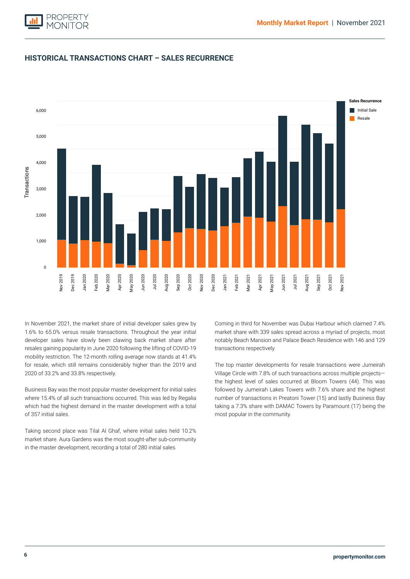

### **HISTORICAL TRANSACTIONS CHART – SALES RECURRENCE**



developer sales have slowly been clawing back market share after Initial Sale Resale resales gaining popularity in June 2020 following the lifting of COVID-19 mobility restriction. The 12-month rolling average now stands at 41.4% In November 2021, the market share of initial developer sales grew by 1.6% to 65.0% versus resale transactions. Throughout the year initial for resale, which still remains considerably higher than the 2019 and 2020 of 33.2% and 33.8% respectively.

Business Bay was the most popular master development for initial sales where 15.4% of all such transactions occurred. This was led by Regalia which had the highest demand in the master development with a total of 357 initial sales.

Taking second place was Tilal Al Ghaf, where initial sales held 10.2% market share. Aura Gardens was the most sought-after sub-community in the master development, recording a total of 280 initial sales.

Coming in third for November was Dubai Harbour which claimed 7.4% market share with 339 sales spread across a myriad of projects, most notably Beach Mansion and Palace Beach Residence with 146 and 129 transactions respectively.

The top master developments for resale transactions were Jumeirah Village Circle with 7.8% of such transactions across multiple projects the highest level of sales occurred at Bloom Towers (44). This was followed by Jumeirah Lakes Towers with 7.6% share and the highest number of transactions in Preatoni Tower (15) and lastly Business Bay taking a 7.3% share with DAMAC Towers by Paramount (17) being the most popular in the community.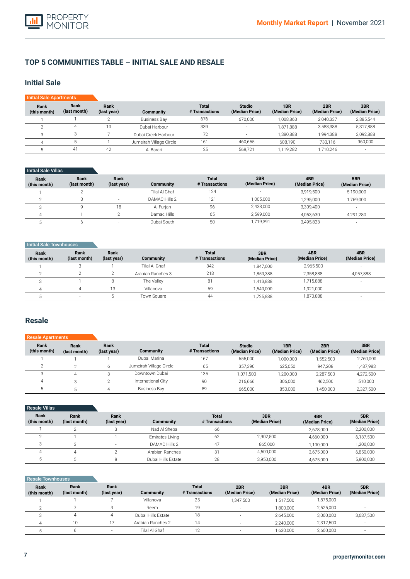### **TOP 5 COMMUNITIES TABLE – INITIAL SALE AND RESALE**

### **Initial Sale**

| <b>Initial Sale Apartments</b> |                      |                     |                         |                                |                                 |                       |                       |                       |
|--------------------------------|----------------------|---------------------|-------------------------|--------------------------------|---------------------------------|-----------------------|-----------------------|-----------------------|
| Rank<br>(this month)           | Rank<br>(last month) | Rank<br>(last year) | Community               | <b>Total</b><br># Transactions | <b>Studio</b><br>(Median Price) | 1BR<br>(Median Price) | 2BR<br>(Median Price) | 3BR<br>(Median Price) |
|                                |                      |                     | <b>Business Bay</b>     | 676                            | 670,000                         | 1.008.863             | 2,040,337             | 2,885,544             |
|                                |                      | 10                  | Dubai Harbour           | 339                            |                                 | 1,871,888             | 3,588,388             | 5,317,888             |
|                                |                      |                     | Dubai Creek Harbour     | 172                            | $\sim$                          | 1.380.888             | 1.994.388             | 3,092,888             |
|                                |                      |                     | Jumeirah Village Circle | 161                            | 460,655                         | 608.190               | 733.116               | 960,000               |
|                                | 41                   | 42                  | Al Barari               | 125                            | 568,721                         | 1.119.282             | 1,710,246             |                       |

#### Initial Sale Villas

| Rank<br>(this month) | Rank<br>(last month) | Rank<br>(last year)      | Community     | <b>Total</b><br># Transactions | 3BR<br>(Median Price) | 4BR<br>(Median Price) | 5BR<br>(Median Price) |
|----------------------|----------------------|--------------------------|---------------|--------------------------------|-----------------------|-----------------------|-----------------------|
|                      |                      | $\overline{\phantom{a}}$ | Tilal Al Ghaf | 124                            |                       | 3.919.500             | 5,190,000             |
|                      |                      | $\overline{\phantom{a}}$ | DAMAC Hills 2 | 121                            | 1,005,000             | 1.295.000             | 1,769,000             |
|                      |                      | 18                       | Al Furian     | 96                             | 2,438,000             | 3.309.400             |                       |
|                      |                      |                          | Damac Hills   | 65                             | 2,599,000             | 4,053,630             | 4,291,280             |
|                      |                      |                          | Dubai South   | 50                             | 1,719,391             | 3,495,823             |                       |

#### **Initial Sale Townhouses**

| Rank<br>(this month) | Rank<br>(last month) | Rank<br>(last year) | Community         | <b>Total</b><br># Transactions | 3BR<br>(Median Price) | 4BR<br>(Median Price) | 4BR<br>(Median Price)    |
|----------------------|----------------------|---------------------|-------------------|--------------------------------|-----------------------|-----------------------|--------------------------|
|                      |                      |                     | Tilal Al Ghaf     | 342                            | 1.847.000             | 2.965.500             |                          |
|                      |                      |                     | Arabian Ranches 3 | 218                            | 1.859.388             | 2,358,888             | 4,057,888                |
|                      |                      |                     | The Valley        | 81                             | 1.413.888             | 1.715.888             | $\overline{\phantom{a}}$ |
|                      |                      | 13                  | Villanova         | 69                             | 1.549.000             | 1,921,000             |                          |
|                      |                      |                     | Town Square       | 44                             | ,725,888              | 1,870,888             | $\sim$                   |

### **Resale**

#### **Rank (this month)** 1  $\overline{2}$ 3 4 5 **Rank (last month)** 1 2 4 3 5 **Rank (last year)** 1 6 <sup>3</sup>  $\overline{2}$ 4 **Community**  Dubai Marina Jumeirah Village Circle Downtown Dubai International City Business Bay **Total # Transactions** 167 165 135 90 89 Resale A **Studio (Median Price)** 655,000 357,390 1,071,500 216,666 665,000 **1BR (Median Price)** 1,000,000 625,050 1,200,000 306,000 850,000 **2BR (Median Price)** 1,552,500 947,208 2,287,500 462,500 1,450,000 **3BR (Median Price)** 2,760,000 1,487,983 4,272,500 510,000 2,327,500

| <b>Resale Villas</b> |                      |                     |                    |                                |                       |                       |                       |
|----------------------|----------------------|---------------------|--------------------|--------------------------------|-----------------------|-----------------------|-----------------------|
| Rank<br>(this month) | Rank<br>(last month) | Rank<br>(last year) | <b>Community</b>   | <b>Total</b><br># Transactions | 3BR<br>(Median Price) | 4BR<br>(Median Price) | 5BR<br>(Median Price) |
|                      |                      |                     | Nad Al Sheba       | 66                             |                       | 2,678,000             | 2,200,000             |
| $\sim$               |                      |                     | Emirates Living    | 62                             | 2.902.500             | 4,660,000             | 6,137,500             |
|                      |                      | $\sim$              | DAMAC Hills 2      | 47                             | 865.000               | 1,100,000             | 1,200,000             |
|                      |                      |                     | Arabian Ranches    | 31                             | 4,500,000             | 3,675,000             | 6,850,000             |
|                      |                      |                     | Dubai Hills Estate | 28                             | 3,950,000             | 4,675,000             | 5,800,000             |

#### Resale Townhouses

| Rank<br>(this month) | Rank<br>(last month) | Rank<br>(last year) | Community          | <b>Total</b><br># Transactions | 2BR<br>(Median Price) | 3BR<br>(Median Price) | 4BR<br>(Median Price) | 5BR<br>(Median Price) |
|----------------------|----------------------|---------------------|--------------------|--------------------------------|-----------------------|-----------------------|-----------------------|-----------------------|
|                      |                      |                     | Villanova          | 25                             | 1.347.500             | 1,517,500             | 1,875,000             |                       |
|                      |                      |                     | Reem               | 19                             |                       | 1,800,000             | 2,525,000             |                       |
|                      |                      |                     | Dubai Hills Estate | 18                             |                       | 2.645.000             | 3.000.000             | 3,687,500             |
|                      | 10                   |                     | Arabian Ranches 2  | 14                             |                       | 2,240,000             | 2,312,500             |                       |
|                      |                      |                     | Tilal Al Ghaf      | 10                             |                       | 1,630,000             | 2,600,000             |                       |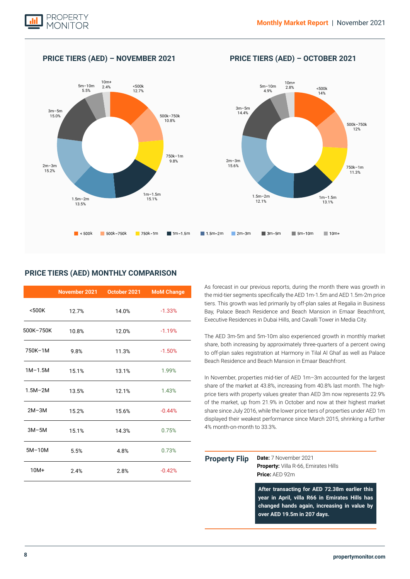

### **PRICE TIERS (AED) – NOVEMBER 2021 PRICE TIERS (AED) – OCTOBER 2021**



### **PRICE TIERS (AED) MONTHLY COMPARISON**

|             | November 2021 | October 2021 | <b>MoM Change</b> |
|-------------|---------------|--------------|-------------------|
| $500K$      | 12.7%         | 14.0%        | $-1.33%$          |
| 500K-750K   | 10.8%         | 12.0%        | $-1.19%$          |
| 750K-1M     | 9.8%          | 11.3%        | $-1.50%$          |
| $1M-1.5M$   | 15.1%         | 13.1%        | 1.99%             |
| $1.5M - 2M$ | 13.5%         | 12.1%        | 1.43%             |
| $2M-3M$     | 15.2%         | 15.6%        | $-0.44%$          |
| $3M-5M$     | 15.1%         | 14.3%        | 0.75%             |
| $5M-10M$    | 5.5%          | 4.8%         | 0.73%             |
| $10M+$      | 2.4%          | 2.8%         | $-0.42%$          |

As forecast in our previous reports, during the month there was growth in the mid-tier segments specifically the AED 1m-1.5m and AED 1.5m-2m price tiers. This growth was led primarily by off-plan sales at Regalia in Business Bay, Palace Beach Residence and Beach Mansion in Emaar Beachfront, Executive Residences in Dubai Hills, and Cavalli Tower in Media City.

The AED 3m-5m and 5m-10m also experienced growth in monthly market share, both increasing by approximately three-quarters of a percent owing to off-plan sales registration at Harmony in Tilal Al Ghaf as well as Palace Beach Residence and Beach Mansion in Emaar Beachfront.

In November, properties mid-tier of AED 1m–3m accounted for the largest share of the market at 43.8%, increasing from 40.8% last month. The highprice tiers with property values greater than AED 3m now represents 22.9% of the market, up from 21.9% in October and now at their highest market share since July 2016, while the lower price tiers of properties under AED 1m displayed their weakest performance since March 2015, shrinking a further 4% month-on-month to 33.3%.

| <b>Property Flip</b> | <b>Date:</b> 7 November 2021<br>Property: Villa R-66, Emirates Hills<br><b>Price:</b> $AED 92m$                                                                               |  |
|----------------------|-------------------------------------------------------------------------------------------------------------------------------------------------------------------------------|--|
|                      | After transacting for AED 72.38m earlier this<br>year in April, villa R66 in Emirates Hills has<br>changed hands again, increasing in value by<br>over AED 19.5m in 207 days. |  |